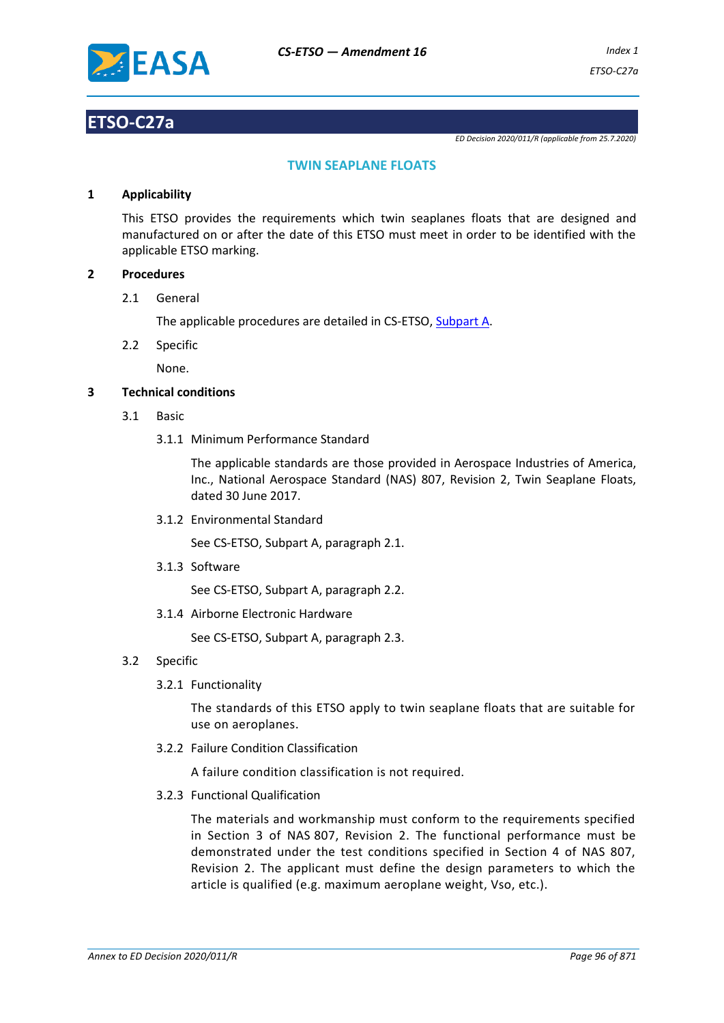

# **ETSO-C27a**

*ED Decision 2020/011/R (applicable from 25.7.2020)*

## **TWIN SEAPLANE FLOATS**

#### **1 Applicability**

This ETSO provides the requirements which twin seaplanes floats that are designed and manufactured on or after the date of this ETSO must meet in order to be identified with the applicable ETSO marking.

#### **2 Procedures**

2.1 General

The applicable procedures are detailed in CS-ETSO, Subpart A.

2.2 Specific

None.

### **3 Technical conditions**

- 3.1 Basic
	- 3.1.1 Minimum Performance Standard

The applicable standards are those provided in Aerospace Industries of America, Inc., National Aerospace Standard (NAS) 807, Revision 2, Twin Seaplane Floats, dated 30 June 2017.

3.1.2 Environmental Standard

See CS-ETSO, Subpart A, paragraph 2.1.

3.1.3 Software

See CS-ETSO, Subpart A, paragraph 2.2.

3.1.4 Airborne Electronic Hardware

See CS-ETSO, Subpart A, paragraph 2.3.

- 3.2 Specific
	- 3.2.1 Functionality

The standards of this ETSO apply to twin seaplane floats that are suitable for use on aeroplanes.

3.2.2 Failure Condition Classification

A failure condition classification is not required.

3.2.3 Functional Qualification

The materials and workmanship must conform to the requirements specified in Section 3 of NAS 807, Revision 2. The functional performance must be demonstrated under the test conditions specified in Section 4 of NAS 807, Revision 2. The applicant must define the design parameters to which the article is qualified (e.g. maximum aeroplane weight, Vso, etc.).